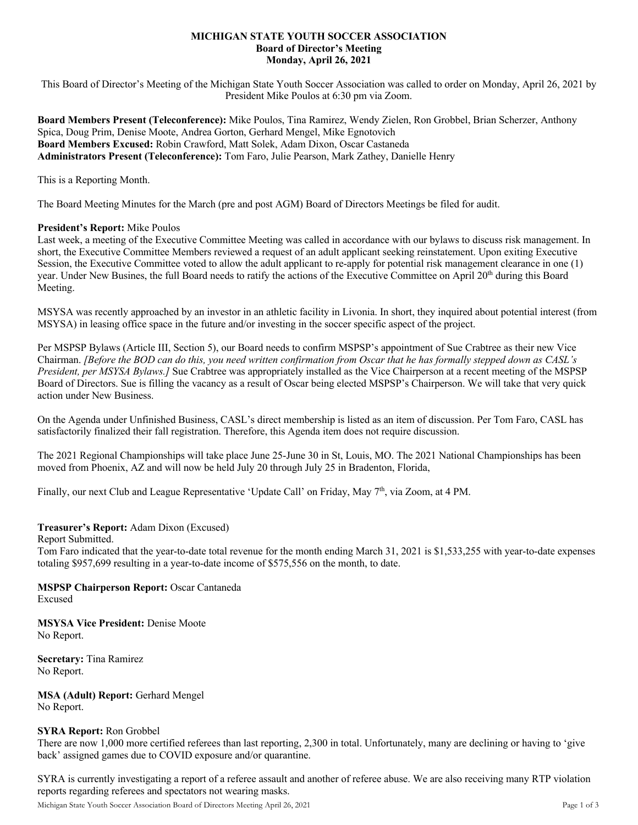#### **MICHIGAN STATE YOUTH SOCCER ASSOCIATION Board of Director's Meeting Monday, April 26, 2021**

This Board of Director's Meeting of the Michigan State Youth Soccer Association was called to order on Monday, April 26, 2021 by President Mike Poulos at 6:30 pm via Zoom.

**Board Members Present (Teleconference):** Mike Poulos, Tina Ramirez, Wendy Zielen, Ron Grobbel, Brian Scherzer, Anthony Spica, Doug Prim, Denise Moote, Andrea Gorton, Gerhard Mengel, Mike Egnotovich **Board Members Excused:** Robin Crawford, Matt Solek, Adam Dixon, Oscar Castaneda **Administrators Present (Teleconference):** Tom Faro, Julie Pearson, Mark Zathey, Danielle Henry

This is a Reporting Month.

The Board Meeting Minutes for the March (pre and post AGM) Board of Directors Meetings be filed for audit.

#### **President's Report:** Mike Poulos

Last week, a meeting of the Executive Committee Meeting was called in accordance with our bylaws to discuss risk management. In short, the Executive Committee Members reviewed a request of an adult applicant seeking reinstatement. Upon exiting Executive Session, the Executive Committee voted to allow the adult applicant to re-apply for potential risk management clearance in one (1) year. Under New Busines, the full Board needs to ratify the actions of the Executive Committee on April 20<sup>th</sup> during this Board Meeting.

MSYSA was recently approached by an investor in an athletic facility in Livonia. In short, they inquired about potential interest (from MSYSA) in leasing office space in the future and/or investing in the soccer specific aspect of the project.

Per MSPSP Bylaws (Article III, Section 5), our Board needs to confirm MSPSP's appointment of Sue Crabtree as their new Vice Chairman. *[Before the BOD can do this, you need written confirmation from Oscar that he has formally stepped down as CASL's President, per MSYSA Bylaws.]* Sue Crabtree was appropriately installed as the Vice Chairperson at a recent meeting of the MSPSP Board of Directors. Sue is filling the vacancy as a result of Oscar being elected MSPSP's Chairperson. We will take that very quick action under New Business.

On the Agenda under Unfinished Business, CASL's direct membership is listed as an item of discussion. Per Tom Faro, CASL has satisfactorily finalized their fall registration. Therefore, this Agenda item does not require discussion.

The 2021 Regional Championships will take place June 25-June 30 in St, Louis, MO. The 2021 National Championships has been moved from Phoenix, AZ and will now be held July 20 through July 25 in Bradenton, Florida,

Finally, our next Club and League Representative 'Update Call' on Friday, May 7<sup>th</sup>, via Zoom, at 4 PM.

# **Treasurer's Report:** Adam Dixon (Excused)

Report Submitted.

Tom Faro indicated that the year-to-date total revenue for the month ending March 31, 2021 is \$1,533,255 with year-to-date expenses totaling \$957,699 resulting in a year-to-date income of \$575,556 on the month, to date.

# **MSPSP Chairperson Report:** Oscar Cantaneda

Excused

**MSYSA Vice President:** Denise Moote No Report.

**Secretary:** Tina Ramirez No Report.

**MSA (Adult) Report:** Gerhard Mengel No Report.

# **SYRA Report:** Ron Grobbel

There are now 1,000 more certified referees than last reporting, 2,300 in total. Unfortunately, many are declining or having to 'give back' assigned games due to COVID exposure and/or quarantine.

SYRA is currently investigating a report of a referee assault and another of referee abuse. We are also receiving many RTP violation reports regarding referees and spectators not wearing masks.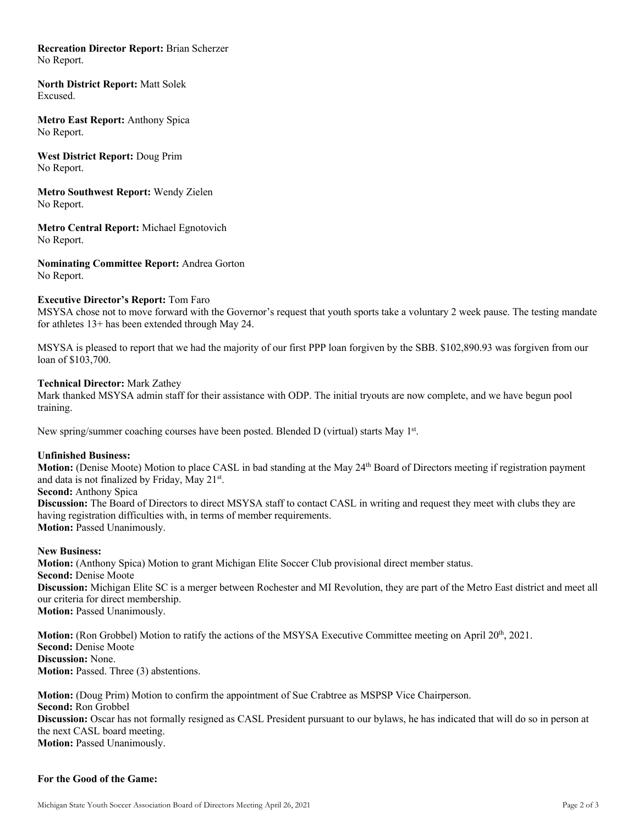# **Recreation Director Report:** Brian Scherzer

No Report.

**North District Report:** Matt Solek Excused.

**Metro East Report:** Anthony Spica No Report.

**West District Report:** Doug Prim No Report.

**Metro Southwest Report:** Wendy Zielen No Report.

**Metro Central Report:** Michael Egnotovich No Report.

**Nominating Committee Report:** Andrea Gorton No Report.

# **Executive Director's Report:** Tom Faro

MSYSA chose not to move forward with the Governor's request that youth sports take a voluntary 2 week pause. The testing mandate for athletes 13+ has been extended through May 24.

MSYSA is pleased to report that we had the majority of our first PPP loan forgiven by the SBB. \$102,890.93 was forgiven from our loan of \$103,700.

#### **Technical Director:** Mark Zathey

Mark thanked MSYSA admin staff for their assistance with ODP. The initial tryouts are now complete, and we have begun pool training.

New spring/summer coaching courses have been posted. Blended D (virtual) starts May  $1<sup>st</sup>$ .

#### **Unfinished Business:**

**Motion:** (Denise Moote) Motion to place CASL in bad standing at the May 24<sup>th</sup> Board of Directors meeting if registration payment and data is not finalized by Friday, May 21st.

**Second:** Anthony Spica

**Discussion:** The Board of Directors to direct MSYSA staff to contact CASL in writing and request they meet with clubs they are having registration difficulties with, in terms of member requirements. **Motion: Passed Unanimously.** 

#### **New Business:**

**Motion:** (Anthony Spica) Motion to grant Michigan Elite Soccer Club provisional direct member status. **Second: Denise Moote Discussion:** Michigan Elite SC is a merger between Rochester and MI Revolution, they are part of the Metro East district and meet all our criteria for direct membership. **Motion: Passed Unanimously.** 

**Motion:** (Ron Grobbel) Motion to ratify the actions of the MSYSA Executive Committee meeting on April 20<sup>th</sup>, 2021. **Second: Denise Moote Discussion:** None. **Motion:** Passed. Three (3) abstentions.

**Motion:** (Doug Prim) Motion to confirm the appointment of Sue Crabtree as MSPSP Vice Chairperson. **Second:** Ron Grobbel **Discussion:** Oscar has not formally resigned as CASL President pursuant to our bylaws, he has indicated that will do so in person at the next CASL board meeting. **Motion:** Passed Unanimously.

# **For the Good of the Game:**